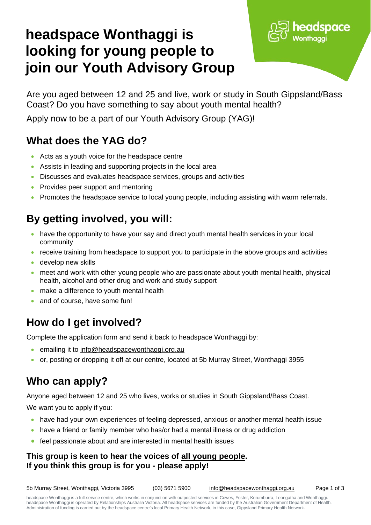# **headspace Wonthaggi is looking for young people to join our Youth Advisory Group**



Are you aged between 12 and 25 and live, work or study in South Gippsland/Bass Coast? Do you have something to say about youth mental health?

Apply now to be a part of our Youth Advisory Group (YAG)!

## **What does the YAG do?**

- Acts as a youth voice for the headspace centre
- Assists in leading and supporting projects in the local area
- Discusses and evaluates headspace services, groups and activities
- Provides peer support and mentoring
- Promotes the headspace service to local young people, including assisting with warm referrals.

## **By getting involved, you will:**

- have the opportunity to have your say and direct youth mental health services in your local community
- receive training from headspace to support you to participate in the above groups and activities
- develop new skills
- meet and work with other young people who are passionate about youth mental health, physical health, alcohol and other drug and work and study support
- make a difference to youth mental health
- and of course, have some fun!

### **How do I get involved?**

Complete the application form and send it back to headspace Wonthaggi by:

- emailing it to [info@headspacewonthaggi.org.au](mailto:info@headspacewonthaggi.org.au)
- or, posting or dropping it off at our centre, located at 5b Murray Street, Wonthaggi 3955

### **Who can apply?**

Anyone aged between 12 and 25 who lives, works or studies in South Gippsland/Bass Coast.

We want you to apply if you:

- have had your own experiences of feeling depressed, anxious or another mental health issue
- have a friend or family member who has/or had a mental illness or drug addiction
- feel passionate about and are interested in mental health issues

#### **This group is keen to hear the voices of all young people. If you think this group is for you - please apply!**

5b Murray Street, Wonthaggi, Victoria 3995 (03) 5671 5900 [info@headspacewonthaggi.org.au](mailto:info@headspacewonthaggi.org.au) Page 1 of 3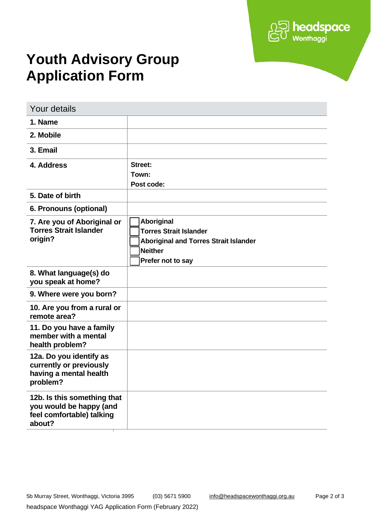

# **Youth Advisory Group Application Form**

| <b>Your details</b>                                                                           |                                                                                                                                    |
|-----------------------------------------------------------------------------------------------|------------------------------------------------------------------------------------------------------------------------------------|
| 1. Name                                                                                       |                                                                                                                                    |
| 2. Mobile                                                                                     |                                                                                                                                    |
| 3. Email                                                                                      |                                                                                                                                    |
| 4. Address                                                                                    | Street:<br>Town:<br>Post code:                                                                                                     |
| 5. Date of birth                                                                              |                                                                                                                                    |
| 6. Pronouns (optional)                                                                        |                                                                                                                                    |
| 7. Are you of Aboriginal or<br><b>Torres Strait Islander</b><br>origin?                       | Aboriginal<br><b>Torres Strait Islander</b><br><b>Aboriginal and Torres Strait Islander</b><br><b>Neither</b><br>Prefer not to say |
| 8. What language(s) do<br>you speak at home?                                                  |                                                                                                                                    |
| 9. Where were you born?                                                                       |                                                                                                                                    |
| 10. Are you from a rural or<br>remote area?                                                   |                                                                                                                                    |
| 11. Do you have a family<br>member with a mental<br>health problem?                           |                                                                                                                                    |
| 12a. Do you identify as<br>currently or previously<br>having a mental health<br>problem?      |                                                                                                                                    |
| 12b. Is this something that<br>you would be happy (and<br>feel comfortable) talking<br>about? |                                                                                                                                    |